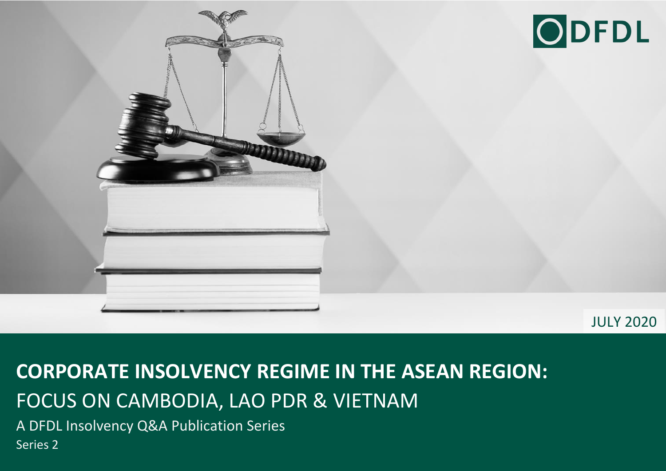



JULY 2020

## **CORPORATE INSOLVENCY REGIME IN THE ASEAN REGION:**  FOCUS ON CAMBODIA, LAO PDR & VIETNAM

A DFDL Insolvency Q&A Publication Series

Series 2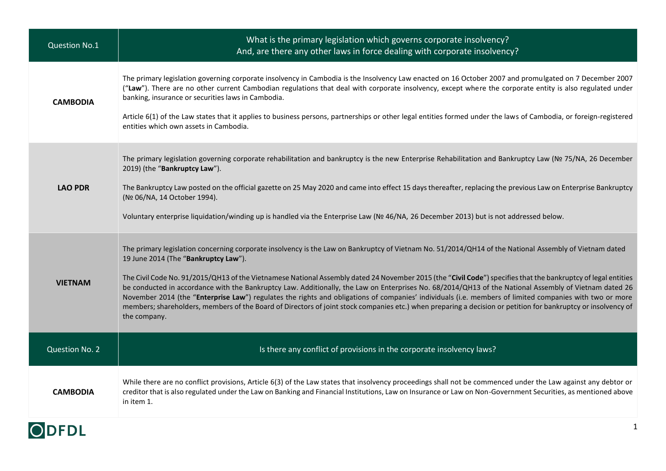| <b>Question No.1</b> | What is the primary legislation which governs corporate insolvency?<br>And, are there any other laws in force dealing with corporate insolvency?                                                                                                                                                                                                                                                                                                                                                                                                                                                                                                                                                                                                                                                                                                                      |
|----------------------|-----------------------------------------------------------------------------------------------------------------------------------------------------------------------------------------------------------------------------------------------------------------------------------------------------------------------------------------------------------------------------------------------------------------------------------------------------------------------------------------------------------------------------------------------------------------------------------------------------------------------------------------------------------------------------------------------------------------------------------------------------------------------------------------------------------------------------------------------------------------------|
| <b>CAMBODIA</b>      | The primary legislation governing corporate insolvency in Cambodia is the Insolvency Law enacted on 16 October 2007 and promulgated on 7 December 2007<br>("Law"). There are no other current Cambodian regulations that deal with corporate insolvency, except where the corporate entity is also regulated under<br>banking, insurance or securities laws in Cambodia.<br>Article 6(1) of the Law states that it applies to business persons, partnerships or other legal entities formed under the laws of Cambodia, or foreign-registered<br>entities which own assets in Cambodia.                                                                                                                                                                                                                                                                               |
| <b>LAO PDR</b>       | The primary legislation governing corporate rehabilitation and bankruptcy is the new Enterprise Rehabilitation and Bankruptcy Law (Nº 75/NA, 26 December<br>2019) (the "Bankruptcy Law").<br>The Bankruptcy Law posted on the official gazette on 25 May 2020 and came into effect 15 days thereafter, replacing the previous Law on Enterprise Bankruptcy<br>(Nº 06/NA, 14 October 1994).<br>Voluntary enterprise liquidation/winding up is handled via the Enterprise Law (Nº 46/NA, 26 December 2013) but is not addressed below.                                                                                                                                                                                                                                                                                                                                  |
| <b>VIETNAM</b>       | The primary legislation concerning corporate insolvency is the Law on Bankruptcy of Vietnam No. 51/2014/QH14 of the National Assembly of Vietnam dated<br>19 June 2014 (The "Bankruptcy Law").<br>The Civil Code No. 91/2015/QH13 of the Vietnamese National Assembly dated 24 November 2015 (the "Civil Code") specifies that the bankruptcy of legal entities<br>be conducted in accordance with the Bankruptcy Law. Additionally, the Law on Enterprises No. 68/2014/QH13 of the National Assembly of Vietnam dated 26<br>November 2014 (the "Enterprise Law") regulates the rights and obligations of companies' individuals (i.e. members of limited companies with two or more<br>members; shareholders, members of the Board of Directors of joint stock companies etc.) when preparing a decision or petition for bankruptcy or insolvency of<br>the company. |
| Question No. 2       | Is there any conflict of provisions in the corporate insolvency laws?                                                                                                                                                                                                                                                                                                                                                                                                                                                                                                                                                                                                                                                                                                                                                                                                 |
| <b>CAMBODIA</b>      | While there are no conflict provisions, Article 6(3) of the Law states that insolvency proceedings shall not be commenced under the Law against any debtor or<br>creditor that is also regulated under the Law on Banking and Financial Institutions, Law on Insurance or Law on Non-Government Securities, as mentioned above<br>in item 1.                                                                                                                                                                                                                                                                                                                                                                                                                                                                                                                          |

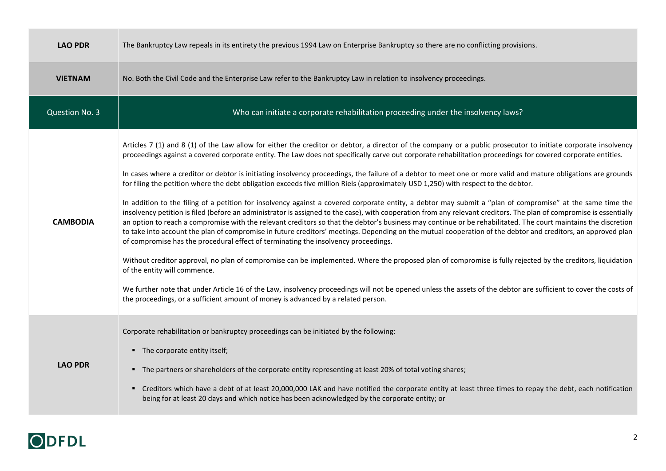| <b>LAO PDR</b>  | The Bankruptcy Law repeals in its entirety the previous 1994 Law on Enterprise Bankruptcy so there are no conflicting provisions.                                                                                                                                                                                                                                                                                                                                                                                                                                                                                                                                                                                                                                                                                                                                                                                                                                                                                                                                                                                                                                                                                                                                                                                                                                                                                                                                                                                                                                                                                                                                                                                                                                                                                                                          |
|-----------------|------------------------------------------------------------------------------------------------------------------------------------------------------------------------------------------------------------------------------------------------------------------------------------------------------------------------------------------------------------------------------------------------------------------------------------------------------------------------------------------------------------------------------------------------------------------------------------------------------------------------------------------------------------------------------------------------------------------------------------------------------------------------------------------------------------------------------------------------------------------------------------------------------------------------------------------------------------------------------------------------------------------------------------------------------------------------------------------------------------------------------------------------------------------------------------------------------------------------------------------------------------------------------------------------------------------------------------------------------------------------------------------------------------------------------------------------------------------------------------------------------------------------------------------------------------------------------------------------------------------------------------------------------------------------------------------------------------------------------------------------------------------------------------------------------------------------------------------------------------|
| <b>VIETNAM</b>  | No. Both the Civil Code and the Enterprise Law refer to the Bankruptcy Law in relation to insolvency proceedings.                                                                                                                                                                                                                                                                                                                                                                                                                                                                                                                                                                                                                                                                                                                                                                                                                                                                                                                                                                                                                                                                                                                                                                                                                                                                                                                                                                                                                                                                                                                                                                                                                                                                                                                                          |
| Question No. 3  | Who can initiate a corporate rehabilitation proceeding under the insolvency laws?                                                                                                                                                                                                                                                                                                                                                                                                                                                                                                                                                                                                                                                                                                                                                                                                                                                                                                                                                                                                                                                                                                                                                                                                                                                                                                                                                                                                                                                                                                                                                                                                                                                                                                                                                                          |
| <b>CAMBODIA</b> | Articles 7 (1) and 8 (1) of the Law allow for either the creditor or debtor, a director of the company or a public prosecutor to initiate corporate insolvency<br>proceedings against a covered corporate entity. The Law does not specifically carve out corporate rehabilitation proceedings for covered corporate entities.<br>In cases where a creditor or debtor is initiating insolvency proceedings, the failure of a debtor to meet one or more valid and mature obligations are grounds<br>for filing the petition where the debt obligation exceeds five million Riels (approximately USD 1,250) with respect to the debtor.<br>In addition to the filing of a petition for insolvency against a covered corporate entity, a debtor may submit a "plan of compromise" at the same time the<br>insolvency petition is filed (before an administrator is assigned to the case), with cooperation from any relevant creditors. The plan of compromise is essentially<br>an option to reach a compromise with the relevant creditors so that the debtor's business may continue or be rehabilitated. The court maintains the discretion<br>to take into account the plan of compromise in future creditors' meetings. Depending on the mutual cooperation of the debtor and creditors, an approved plan<br>of compromise has the procedural effect of terminating the insolvency proceedings.<br>Without creditor approval, no plan of compromise can be implemented. Where the proposed plan of compromise is fully rejected by the creditors, liquidation<br>of the entity will commence.<br>We further note that under Article 16 of the Law, insolvency proceedings will not be opened unless the assets of the debtor are sufficient to cover the costs of<br>the proceedings, or a sufficient amount of money is advanced by a related person. |
| <b>LAO PDR</b>  | Corporate rehabilitation or bankruptcy proceedings can be initiated by the following:<br>• The corporate entity itself;<br>" The partners or shareholders of the corporate entity representing at least 20% of total voting shares;<br>Creditors which have a debt of at least 20,000,000 LAK and have notified the corporate entity at least three times to repay the debt, each notification<br>٠<br>being for at least 20 days and which notice has been acknowledged by the corporate entity; or                                                                                                                                                                                                                                                                                                                                                                                                                                                                                                                                                                                                                                                                                                                                                                                                                                                                                                                                                                                                                                                                                                                                                                                                                                                                                                                                                       |

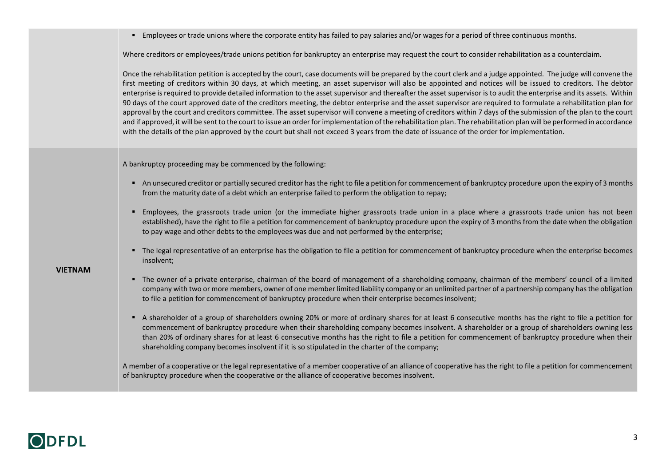Employees or trade unions where the corporate entity has failed to pay salaries and/or wages for a period of three continuous months.

Where creditors or employees/trade unions petition for bankruptcy an enterprise may request the court to consider rehabilitation as a counterclaim.

Once the rehabilitation petition is accepted by the court, case documents will be prepared by the court clerk and a judge appointed. The judge will convene the first meeting of creditors within 30 days, at which meeting, an asset supervisor will also be appointed and notices will be issued to creditors. The debtor enterprise is required to provide detailed information to the asset supervisor and thereafter the asset supervisor is to audit the enterprise and its assets. Within 90 days of the court approved date of the creditors meeting, the debtor enterprise and the asset supervisor are required to formulate a rehabilitation plan for approval by the court and creditors committee. The asset supervisor will convene a meeting of creditors within 7 days of the submission of the plan to the court and if approved, it will be sent to the court to issue an order for implementation of the rehabilitation plan. The rehabilitation plan will be performed in accordance with the details of the plan approved by the court but shall not exceed 3 years from the date of issuance of the order for implementation.

A bankruptcy proceeding may be commenced by the following:

- An unsecured creditor or partially secured creditor has the right to file a petition for commencement of bankruptcy procedure upon the expiry of 3 months from the maturity date of a debt which an enterprise failed to perform the obligation to repay;
- Employees, the grassroots trade union (or the immediate higher grassroots trade union in a place where a grassroots trade union has not been established), have the right to file a petition for commencement of bankruptcy procedure upon the expiry of 3 months from the date when the obligation to pay wage and other debts to the employees was due and not performed by the enterprise;
- The legal representative of an enterprise has the obligation to file a petition for commencement of bankruptcy procedure when the enterprise becomes insolvent;

**VIETNAM**

- The owner of a private enterprise, chairman of the board of management of a shareholding company, chairman of the members' council of a limited company with two or more members, owner of one member limited liability company or an unlimited partner of a partnership company has the obligation to file a petition for commencement of bankruptcy procedure when their enterprise becomes insolvent;
- A shareholder of a group of shareholders owning 20% or more of ordinary shares for at least 6 consecutive months has the right to file a petition for commencement of bankruptcy procedure when their shareholding company becomes insolvent. A shareholder or a group of shareholders owning less than 20% of ordinary shares for at least 6 consecutive months has the right to file a petition for commencement of bankruptcy procedure when their shareholding company becomes insolvent if it is so stipulated in the charter of the company;

A member of a cooperative or the legal representative of a member cooperative of an alliance of cooperative has the right to file a petition for commencement of bankruptcy procedure when the cooperative or the alliance of cooperative becomes insolvent.

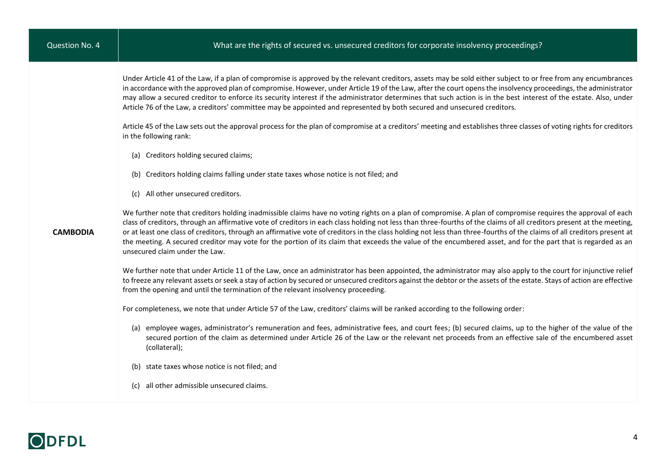Under Article 41 of the Law, if a plan of compromise is approved by the relevant creditors, assets may be sold either subject to or free from any encumbrances in accordance with the approved plan of compromise. However, under Article 19 of the Law, after the court opens the insolvency proceedings, the administrator may allow a secured creditor to enforce its security interest if the administrator determines that such action is in the best interest of the estate. Also, under Article 76 of the Law, a creditors' committee may be appointed and represented by both secured and unsecured creditors.

Article 45 of the Law sets out the approval process for the plan of compromise at a creditors' meeting and establishes three classes of voting rights for creditors in the following rank:

- (a) Creditors holding secured claims;
- (b) Creditors holding claims falling under state taxes whose notice is not filed; and
- (c) All other unsecured creditors.

**CAMBODIA**

We further note that creditors holding inadmissible claims have no voting rights on a plan of compromise. A plan of compromise requires the approval of each class of creditors, through an affirmative vote of creditors in each class holding not less than three-fourths of the claims of all creditors present at the meeting, or at least one class of creditors, through an affirmative vote of creditors in the class holding not less than three-fourths of the claims of all creditors present at the meeting. A secured creditor may vote for the portion of its claim that exceeds the value of the encumbered asset, and for the part that is regarded as an unsecured claim under the Law.

We further note that under Article 11 of the Law, once an administrator has been appointed, the administrator may also apply to the court for injunctive relief to freeze any relevant assets or seek a stay of action by secured or unsecured creditors against the debtor or the assets of the estate. Stays of action are effective from the opening and until the termination of the relevant insolvency proceeding.

For completeness, we note that under Article 57 of the Law, creditors' claims will be ranked according to the following order:

- (a) employee wages, administrator's remuneration and fees, administrative fees, and court fees; (b) secured claims, up to the higher of the value of the secured portion of the claim as determined under Article 26 of the Law or the relevant net proceeds from an effective sale of the encumbered asset (collateral);
- (b) state taxes whose notice is not filed; and
- (c) all other admissible unsecured claims.

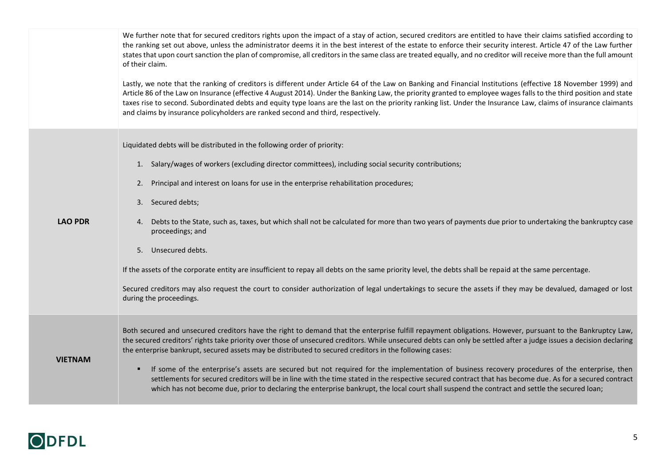|                | We further note that for secured creditors rights upon the impact of a stay of action, secured creditors are entitled to have their claims satisfied according to<br>the ranking set out above, unless the administrator deems it in the best interest of the estate to enforce their security interest. Article 47 of the Law further<br>states that upon court sanction the plan of compromise, all creditors in the same class are treated equally, and no creditor will receive more than the full amount<br>of their claim.                                                           |
|----------------|--------------------------------------------------------------------------------------------------------------------------------------------------------------------------------------------------------------------------------------------------------------------------------------------------------------------------------------------------------------------------------------------------------------------------------------------------------------------------------------------------------------------------------------------------------------------------------------------|
|                | Lastly, we note that the ranking of creditors is different under Article 64 of the Law on Banking and Financial Institutions (effective 18 November 1999) and<br>Article 86 of the Law on Insurance (effective 4 August 2014). Under the Banking Law, the priority granted to employee wages falls to the third position and state<br>taxes rise to second. Subordinated debts and equity type loans are the last on the priority ranking list. Under the Insurance Law, claims of insurance claimants<br>and claims by insurance policyholders are ranked second and third, respectively. |
|                | Liquidated debts will be distributed in the following order of priority:                                                                                                                                                                                                                                                                                                                                                                                                                                                                                                                   |
|                | Salary/wages of workers (excluding director committees), including social security contributions;<br>1.                                                                                                                                                                                                                                                                                                                                                                                                                                                                                    |
|                | Principal and interest on loans for use in the enterprise rehabilitation procedures;<br>2.                                                                                                                                                                                                                                                                                                                                                                                                                                                                                                 |
|                | 3. Secured debts;                                                                                                                                                                                                                                                                                                                                                                                                                                                                                                                                                                          |
| <b>LAO PDR</b> | Debts to the State, such as, taxes, but which shall not be calculated for more than two years of payments due prior to undertaking the bankruptcy case<br>4.<br>proceedings; and                                                                                                                                                                                                                                                                                                                                                                                                           |
|                | 5. Unsecured debts.                                                                                                                                                                                                                                                                                                                                                                                                                                                                                                                                                                        |
|                | If the assets of the corporate entity are insufficient to repay all debts on the same priority level, the debts shall be repaid at the same percentage.                                                                                                                                                                                                                                                                                                                                                                                                                                    |
|                | Secured creditors may also request the court to consider authorization of legal undertakings to secure the assets if they may be devalued, damaged or lost<br>during the proceedings.                                                                                                                                                                                                                                                                                                                                                                                                      |
|                |                                                                                                                                                                                                                                                                                                                                                                                                                                                                                                                                                                                            |
| <b>VIETNAM</b> | Both secured and unsecured creditors have the right to demand that the enterprise fulfill repayment obligations. However, pursuant to the Bankruptcy Law,<br>the secured creditors' rights take priority over those of unsecured creditors. While unsecured debts can only be settled after a judge issues a decision declaring<br>the enterprise bankrupt, secured assets may be distributed to secured creditors in the following cases:                                                                                                                                                 |
|                | If some of the enterprise's assets are secured but not required for the implementation of business recovery procedures of the enterprise, then<br>settlements for secured creditors will be in line with the time stated in the respective secured contract that has become due. As for a secured contract<br>which has not become due, prior to declaring the enterprise bankrupt, the local court shall suspend the contract and settle the secured loan;                                                                                                                                |
|                |                                                                                                                                                                                                                                                                                                                                                                                                                                                                                                                                                                                            |

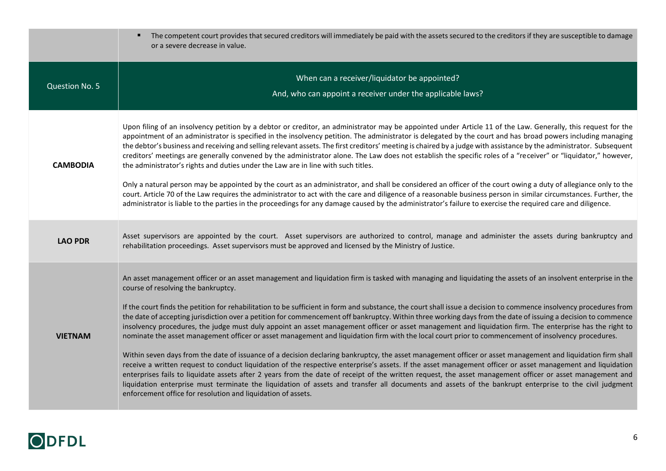|                 | The competent court provides that secured creditors will immediately be paid with the assets secured to the creditors if they are susceptible to damage<br>or a severe decrease in value.                                                                                                                                                                                                                                                                                                                                                                                                                                                                                                                                                                    |
|-----------------|--------------------------------------------------------------------------------------------------------------------------------------------------------------------------------------------------------------------------------------------------------------------------------------------------------------------------------------------------------------------------------------------------------------------------------------------------------------------------------------------------------------------------------------------------------------------------------------------------------------------------------------------------------------------------------------------------------------------------------------------------------------|
| Question No. 5  | When can a receiver/liquidator be appointed?<br>And, who can appoint a receiver under the applicable laws?                                                                                                                                                                                                                                                                                                                                                                                                                                                                                                                                                                                                                                                   |
| <b>CAMBODIA</b> | Upon filing of an insolvency petition by a debtor or creditor, an administrator may be appointed under Article 11 of the Law. Generally, this request for the<br>appointment of an administrator is specified in the insolvency petition. The administrator is delegated by the court and has broad powers including managing<br>the debtor's business and receiving and selling relevant assets. The first creditors' meeting is chaired by a judge with assistance by the administrator. Subsequent<br>creditors' meetings are generally convened by the administrator alone. The Law does not establish the specific roles of a "receiver" or "liquidator," however,<br>the administrator's rights and duties under the Law are in line with such titles. |
|                 | Only a natural person may be appointed by the court as an administrator, and shall be considered an officer of the court owing a duty of allegiance only to the<br>court. Article 70 of the Law requires the administrator to act with the care and diligence of a reasonable business person in similar circumstances. Further, the<br>administrator is liable to the parties in the proceedings for any damage caused by the administrator's failure to exercise the required care and diligence.                                                                                                                                                                                                                                                          |
| <b>LAO PDR</b>  | Asset supervisors are appointed by the court. Asset supervisors are authorized to control, manage and administer the assets during bankruptcy and<br>rehabilitation proceedings. Asset supervisors must be approved and licensed by the Ministry of Justice.                                                                                                                                                                                                                                                                                                                                                                                                                                                                                                 |
|                 | An asset management officer or an asset management and liquidation firm is tasked with managing and liquidating the assets of an insolvent enterprise in the<br>course of resolving the bankruptcy.                                                                                                                                                                                                                                                                                                                                                                                                                                                                                                                                                          |
| <b>VIETNAM</b>  | If the court finds the petition for rehabilitation to be sufficient in form and substance, the court shall issue a decision to commence insolvency procedures from<br>the date of accepting jurisdiction over a petition for commencement off bankruptcy. Within three working days from the date of issuing a decision to commence<br>insolvency procedures, the judge must duly appoint an asset management officer or asset management and liquidation firm. The enterprise has the right to<br>nominate the asset management officer or asset management and liquidation firm with the local court prior to commencement of insolvency procedures.                                                                                                       |
|                 | Within seven days from the date of issuance of a decision declaring bankruptcy, the asset management officer or asset management and liquidation firm shall<br>receive a written request to conduct liquidation of the respective enterprise's assets. If the asset management officer or asset management and liquidation<br>enterprises fails to liquidate assets after 2 years from the date of receipt of the written request, the asset management officer or asset management and<br>liquidation enterprise must terminate the liquidation of assets and transfer all documents and assets of the bankrupt enterprise to the civil judgment<br>enforcement office for resolution and liquidation of assets.                                            |

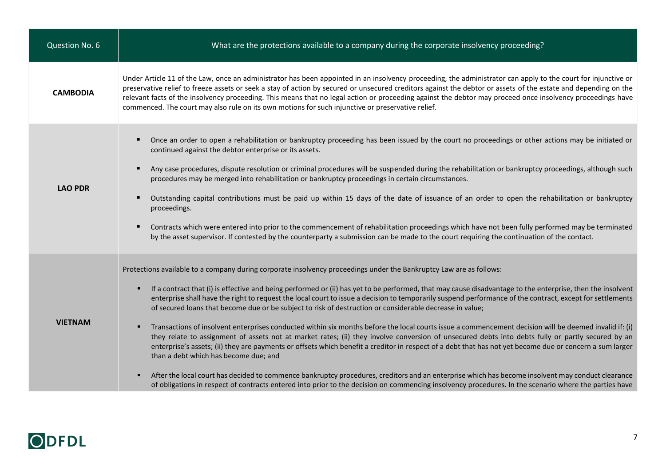| Question No. 6  | What are the protections available to a company during the corporate insolvency proceeding?                                                                                                                                                                                                                                                                                                                                                                                                                                                                                                                                                                                                                                                                                                                                                                                                                                                                                                                                                                                                                                                                                                                                                                                                                                                                                                                 |
|-----------------|-------------------------------------------------------------------------------------------------------------------------------------------------------------------------------------------------------------------------------------------------------------------------------------------------------------------------------------------------------------------------------------------------------------------------------------------------------------------------------------------------------------------------------------------------------------------------------------------------------------------------------------------------------------------------------------------------------------------------------------------------------------------------------------------------------------------------------------------------------------------------------------------------------------------------------------------------------------------------------------------------------------------------------------------------------------------------------------------------------------------------------------------------------------------------------------------------------------------------------------------------------------------------------------------------------------------------------------------------------------------------------------------------------------|
| <b>CAMBODIA</b> | Under Article 11 of the Law, once an administrator has been appointed in an insolvency proceeding, the administrator can apply to the court for injunctive or<br>preservative relief to freeze assets or seek a stay of action by secured or unsecured creditors against the debtor or assets of the estate and depending on the<br>relevant facts of the insolvency proceeding. This means that no legal action or proceeding against the debtor may proceed once insolvency proceedings have<br>commenced. The court may also rule on its own motions for such injunctive or preservative relief.                                                                                                                                                                                                                                                                                                                                                                                                                                                                                                                                                                                                                                                                                                                                                                                                         |
| <b>LAO PDR</b>  | Once an order to open a rehabilitation or bankruptcy proceeding has been issued by the court no proceedings or other actions may be initiated or<br>continued against the debtor enterprise or its assets.<br>Any case procedures, dispute resolution or criminal procedures will be suspended during the rehabilitation or bankruptcy proceedings, although such<br>procedures may be merged into rehabilitation or bankruptcy proceedings in certain circumstances.<br>Outstanding capital contributions must be paid up within 15 days of the date of issuance of an order to open the rehabilitation or bankruptcy<br>proceedings.<br>Contracts which were entered into prior to the commencement of rehabilitation proceedings which have not been fully performed may be terminated<br>п<br>by the asset supervisor. If contested by the counterparty a submission can be made to the court requiring the continuation of the contact.                                                                                                                                                                                                                                                                                                                                                                                                                                                                |
| <b>VIETNAM</b>  | Protections available to a company during corporate insolvency proceedings under the Bankruptcy Law are as follows:<br>If a contract that (i) is effective and being performed or (ii) has yet to be performed, that may cause disadvantage to the enterprise, then the insolvent<br>٠<br>enterprise shall have the right to request the local court to issue a decision to temporarily suspend performance of the contract, except for settlements<br>of secured loans that become due or be subject to risk of destruction or considerable decrease in value;<br>Transactions of insolvent enterprises conducted within six months before the local courts issue a commencement decision will be deemed invalid if: (i)<br>٠<br>they relate to assignment of assets not at market rates; (ii) they involve conversion of unsecured debts into debts fully or partly secured by an<br>enterprise's assets; (ii) they are payments or offsets which benefit a creditor in respect of a debt that has not yet become due or concern a sum larger<br>than a debt which has become due; and<br>After the local court has decided to commence bankruptcy procedures, creditors and an enterprise which has become insolvent may conduct clearance<br>٠<br>of obligations in respect of contracts entered into prior to the decision on commencing insolvency procedures. In the scenario where the parties have |

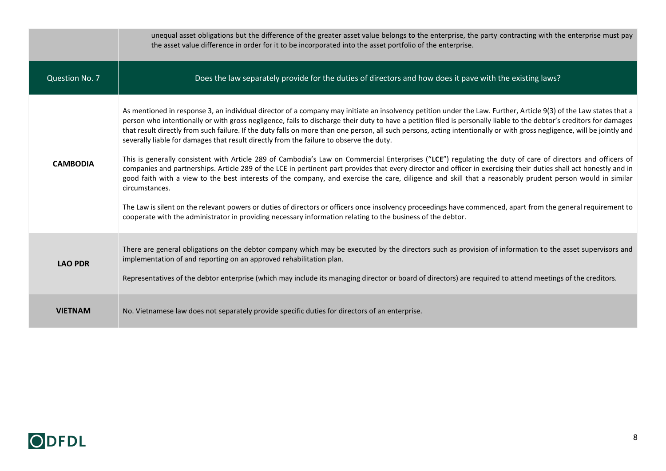|                       | unequal asset obligations but the difference of the greater asset value belongs to the enterprise, the party contracting with the enterprise must pay<br>the asset value difference in order for it to be incorporated into the asset portfolio of the enterprise.                                                                                                                                                                                                                                                                                                                                                                                                                                                                                                                                                                                                                                                                                                                                                                                                                                                                                                                                                                                                                                                                                                                                                 |
|-----------------------|--------------------------------------------------------------------------------------------------------------------------------------------------------------------------------------------------------------------------------------------------------------------------------------------------------------------------------------------------------------------------------------------------------------------------------------------------------------------------------------------------------------------------------------------------------------------------------------------------------------------------------------------------------------------------------------------------------------------------------------------------------------------------------------------------------------------------------------------------------------------------------------------------------------------------------------------------------------------------------------------------------------------------------------------------------------------------------------------------------------------------------------------------------------------------------------------------------------------------------------------------------------------------------------------------------------------------------------------------------------------------------------------------------------------|
| <b>Question No. 7</b> | Does the law separately provide for the duties of directors and how does it pave with the existing laws?                                                                                                                                                                                                                                                                                                                                                                                                                                                                                                                                                                                                                                                                                                                                                                                                                                                                                                                                                                                                                                                                                                                                                                                                                                                                                                           |
| <b>CAMBODIA</b>       | As mentioned in response 3, an individual director of a company may initiate an insolvency petition under the Law. Further, Article 9(3) of the Law states that a<br>person who intentionally or with gross negligence, fails to discharge their duty to have a petition filed is personally liable to the debtor's creditors for damages<br>that result directly from such failure. If the duty falls on more than one person, all such persons, acting intentionally or with gross negligence, will be jointly and<br>severally liable for damages that result directly from the failure to observe the duty.<br>This is generally consistent with Article 289 of Cambodia's Law on Commercial Enterprises ("LCE") regulating the duty of care of directors and officers of<br>companies and partnerships. Article 289 of the LCE in pertinent part provides that every director and officer in exercising their duties shall act honestly and in<br>good faith with a view to the best interests of the company, and exercise the care, diligence and skill that a reasonably prudent person would in similar<br>circumstances.<br>The Law is silent on the relevant powers or duties of directors or officers once insolvency proceedings have commenced, apart from the general requirement to<br>cooperate with the administrator in providing necessary information relating to the business of the debtor. |
| <b>LAO PDR</b>        | There are general obligations on the debtor company which may be executed by the directors such as provision of information to the asset supervisors and<br>implementation of and reporting on an approved rehabilitation plan.<br>Representatives of the debtor enterprise (which may include its managing director or board of directors) are required to attend meetings of the creditors.                                                                                                                                                                                                                                                                                                                                                                                                                                                                                                                                                                                                                                                                                                                                                                                                                                                                                                                                                                                                                      |
| <b>VIETNAM</b>        | No. Vietnamese law does not separately provide specific duties for directors of an enterprise.                                                                                                                                                                                                                                                                                                                                                                                                                                                                                                                                                                                                                                                                                                                                                                                                                                                                                                                                                                                                                                                                                                                                                                                                                                                                                                                     |

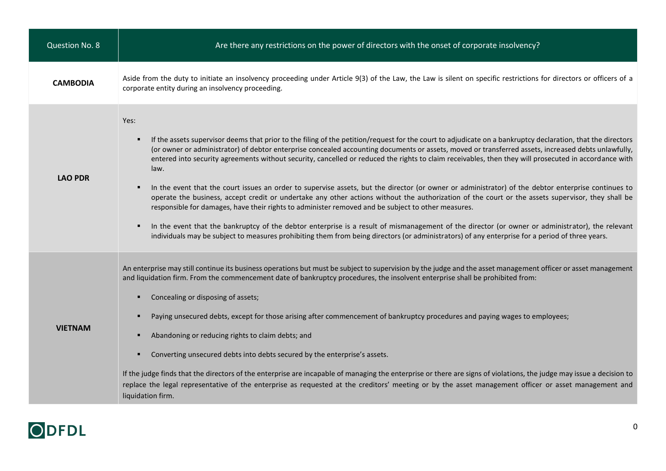| Question No. 8  | Are there any restrictions on the power of directors with the onset of corporate insolvency?                                                                                                                                                                                                                                                                                                                                                                                                                                                                                                                                                                                                                                                                                                                                                                                                                                                                                                                                                                                                                                                                                                                                   |
|-----------------|--------------------------------------------------------------------------------------------------------------------------------------------------------------------------------------------------------------------------------------------------------------------------------------------------------------------------------------------------------------------------------------------------------------------------------------------------------------------------------------------------------------------------------------------------------------------------------------------------------------------------------------------------------------------------------------------------------------------------------------------------------------------------------------------------------------------------------------------------------------------------------------------------------------------------------------------------------------------------------------------------------------------------------------------------------------------------------------------------------------------------------------------------------------------------------------------------------------------------------|
| <b>CAMBODIA</b> | Aside from the duty to initiate an insolvency proceeding under Article 9(3) of the Law, the Law is silent on specific restrictions for directors or officers of a<br>corporate entity during an insolvency proceeding.                                                                                                                                                                                                                                                                                                                                                                                                                                                                                                                                                                                                                                                                                                                                                                                                                                                                                                                                                                                                         |
| <b>LAO PDR</b>  | Yes:<br>If the assets supervisor deems that prior to the filing of the petition/request for the court to adjudicate on a bankruptcy declaration, that the directors<br>٠<br>(or owner or administrator) of debtor enterprise concealed accounting documents or assets, moved or transferred assets, increased debts unlawfully,<br>entered into security agreements without security, cancelled or reduced the rights to claim receivables, then they will prosecuted in accordance with<br>law.<br>In the event that the court issues an order to supervise assets, but the director (or owner or administrator) of the debtor enterprise continues to<br>п<br>operate the business, accept credit or undertake any other actions without the authorization of the court or the assets supervisor, they shall be<br>responsible for damages, have their rights to administer removed and be subject to other measures.<br>In the event that the bankruptcy of the debtor enterprise is a result of mismanagement of the director (or owner or administrator), the relevant<br>individuals may be subject to measures prohibiting them from being directors (or administrators) of any enterprise for a period of three years. |
| <b>VIETNAM</b>  | An enterprise may still continue its business operations but must be subject to supervision by the judge and the asset management officer or asset management<br>and liquidation firm. From the commencement date of bankruptcy procedures, the insolvent enterprise shall be prohibited from:<br>Concealing or disposing of assets;<br>٠<br>Paying unsecured debts, except for those arising after commencement of bankruptcy procedures and paying wages to employees;<br>Abandoning or reducing rights to claim debts; and<br>Converting unsecured debts into debts secured by the enterprise's assets.<br>If the judge finds that the directors of the enterprise are incapable of managing the enterprise or there are signs of violations, the judge may issue a decision to<br>replace the legal representative of the enterprise as requested at the creditors' meeting or by the asset management officer or asset management and<br>liquidation firm.                                                                                                                                                                                                                                                                |

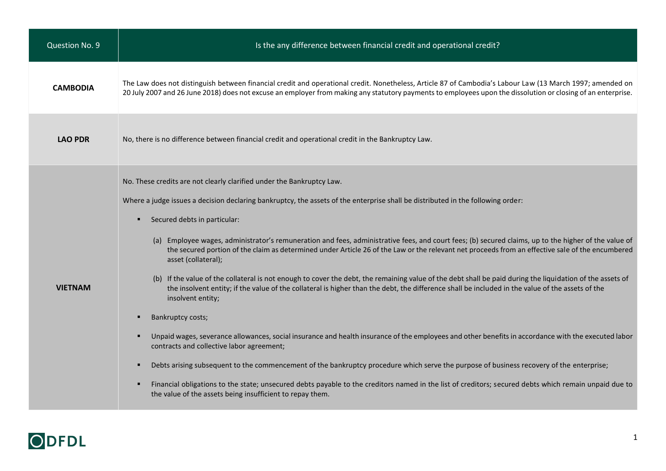| Question No. 9  | Is the any difference between financial credit and operational credit?                                                                                                                                                                                                                                                                                                                                                                                                                                                                                                                                                                                                                                                                                                                                                                                                                                                                                                                                                                                                                                                                                                                                                                                                                                                                                                                                                                                                                                                 |
|-----------------|------------------------------------------------------------------------------------------------------------------------------------------------------------------------------------------------------------------------------------------------------------------------------------------------------------------------------------------------------------------------------------------------------------------------------------------------------------------------------------------------------------------------------------------------------------------------------------------------------------------------------------------------------------------------------------------------------------------------------------------------------------------------------------------------------------------------------------------------------------------------------------------------------------------------------------------------------------------------------------------------------------------------------------------------------------------------------------------------------------------------------------------------------------------------------------------------------------------------------------------------------------------------------------------------------------------------------------------------------------------------------------------------------------------------------------------------------------------------------------------------------------------------|
| <b>CAMBODIA</b> | The Law does not distinguish between financial credit and operational credit. Nonetheless, Article 87 of Cambodia's Labour Law (13 March 1997; amended on<br>20 July 2007 and 26 June 2018) does not excuse an employer from making any statutory payments to employees upon the dissolution or closing of an enterprise.                                                                                                                                                                                                                                                                                                                                                                                                                                                                                                                                                                                                                                                                                                                                                                                                                                                                                                                                                                                                                                                                                                                                                                                              |
| <b>LAO PDR</b>  | No, there is no difference between financial credit and operational credit in the Bankruptcy Law.                                                                                                                                                                                                                                                                                                                                                                                                                                                                                                                                                                                                                                                                                                                                                                                                                                                                                                                                                                                                                                                                                                                                                                                                                                                                                                                                                                                                                      |
| <b>VIETNAM</b>  | No. These credits are not clearly clarified under the Bankruptcy Law.<br>Where a judge issues a decision declaring bankruptcy, the assets of the enterprise shall be distributed in the following order:<br>Secured debts in particular:<br>(a) Employee wages, administrator's remuneration and fees, administrative fees, and court fees; (b) secured claims, up to the higher of the value of<br>the secured portion of the claim as determined under Article 26 of the Law or the relevant net proceeds from an effective sale of the encumbered<br>asset (collateral);<br>(b) If the value of the collateral is not enough to cover the debt, the remaining value of the debt shall be paid during the liquidation of the assets of<br>the insolvent entity; if the value of the collateral is higher than the debt, the difference shall be included in the value of the assets of the<br>insolvent entity;<br>Bankruptcy costs;<br>Unpaid wages, severance allowances, social insurance and health insurance of the employees and other benefits in accordance with the executed labor<br>٠<br>contracts and collective labor agreement;<br>Debts arising subsequent to the commencement of the bankruptcy procedure which serve the purpose of business recovery of the enterprise;<br>Financial obligations to the state; unsecured debts payable to the creditors named in the list of creditors; secured debts which remain unpaid due to<br>٠<br>the value of the assets being insufficient to repay them. |

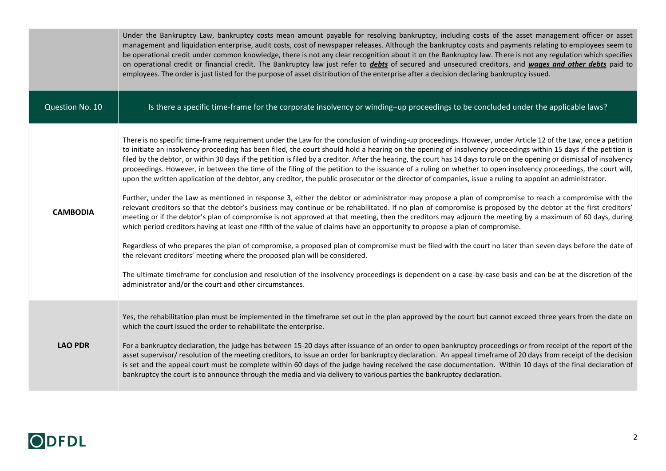|                 | Under the Bankruptcy Law, bankruptcy costs mean amount payable for resolving bankruptcy, including costs of the asset management officer or asset<br>management and liquidation enterprise, audit costs, cost of newspaper releases. Although the bankruptcy costs and payments relating to employees seem to<br>be operational credit under common knowledge, there is not any clear recognition about it on the Bankruptcy law. There is not any regulation which specifies<br>on operational credit or financial credit. The Bankruptcy law just refer to <i>debts</i> of secured and unsecured creditors, and wages and other debts paid to<br>employees. The order is just listed for the purpose of asset distribution of the enterprise after a decision declaring bankruptcy issued.                                                                                                                                                                                                                                                                                                                                                                                                                                                                                                                                                                                                                                                                                                                                                                                                                                                                                                                                                                                                                                                                                                                                              |
|-----------------|-------------------------------------------------------------------------------------------------------------------------------------------------------------------------------------------------------------------------------------------------------------------------------------------------------------------------------------------------------------------------------------------------------------------------------------------------------------------------------------------------------------------------------------------------------------------------------------------------------------------------------------------------------------------------------------------------------------------------------------------------------------------------------------------------------------------------------------------------------------------------------------------------------------------------------------------------------------------------------------------------------------------------------------------------------------------------------------------------------------------------------------------------------------------------------------------------------------------------------------------------------------------------------------------------------------------------------------------------------------------------------------------------------------------------------------------------------------------------------------------------------------------------------------------------------------------------------------------------------------------------------------------------------------------------------------------------------------------------------------------------------------------------------------------------------------------------------------------------------------------------------------------------------------------------------------------|
| Question No. 10 | Is there a specific time-frame for the corporate insolvency or winding-up proceedings to be concluded under the applicable laws?                                                                                                                                                                                                                                                                                                                                                                                                                                                                                                                                                                                                                                                                                                                                                                                                                                                                                                                                                                                                                                                                                                                                                                                                                                                                                                                                                                                                                                                                                                                                                                                                                                                                                                                                                                                                          |
| <b>CAMBODIA</b> | There is no specific time-frame requirement under the Law for the conclusion of winding-up proceedings. However, under Article 12 of the Law, once a petition<br>to initiate an insolvency proceeding has been filed, the court should hold a hearing on the opening of insolvency proceedings within 15 days if the petition is<br>filed by the debtor, or within 30 days if the petition is filed by a creditor. After the hearing, the court has 14 days to rule on the opening or dismissal of insolvency<br>proceedings. However, in between the time of the filing of the petition to the issuance of a ruling on whether to open insolvency proceedings, the court will,<br>upon the written application of the debtor, any creditor, the public prosecutor or the director of companies, issue a ruling to appoint an administrator.<br>Further, under the Law as mentioned in response 3, either the debtor or administrator may propose a plan of compromise to reach a compromise with the<br>relevant creditors so that the debtor's business may continue or be rehabilitated. If no plan of compromise is proposed by the debtor at the first creditors'<br>meeting or if the debtor's plan of compromise is not approved at that meeting, then the creditors may adjourn the meeting by a maximum of 60 days, during<br>which period creditors having at least one-fifth of the value of claims have an opportunity to propose a plan of compromise.<br>Regardless of who prepares the plan of compromise, a proposed plan of compromise must be filed with the court no later than seven days before the date of<br>the relevant creditors' meeting where the proposed plan will be considered.<br>The ultimate timeframe for conclusion and resolution of the insolvency proceedings is dependent on a case-by-case basis and can be at the discretion of the<br>administrator and/or the court and other circumstances. |
| <b>LAO PDR</b>  | Yes, the rehabilitation plan must be implemented in the timeframe set out in the plan approved by the court but cannot exceed three years from the date on<br>which the court issued the order to rehabilitate the enterprise.<br>For a bankruptcy declaration, the judge has between 15-20 days after issuance of an order to open bankruptcy proceedings or from receipt of the report of the<br>asset supervisor/ resolution of the meeting creditors, to issue an order for bankruptcy declaration. An appeal timeframe of 20 days from receipt of the decision<br>is set and the appeal court must be complete within 60 days of the judge having received the case documentation. Within 10 days of the final declaration of<br>bankruptcy the court is to announce through the media and via delivery to various parties the bankruptcy declaration.                                                                                                                                                                                                                                                                                                                                                                                                                                                                                                                                                                                                                                                                                                                                                                                                                                                                                                                                                                                                                                                                               |

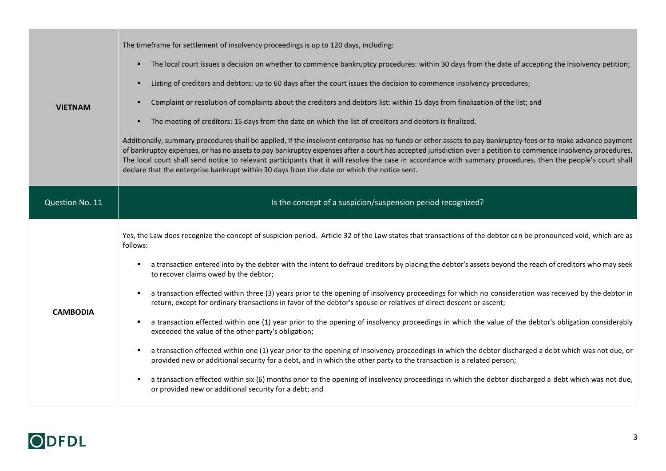| <b>VIETNAM</b>  | The timeframe for settlement of insolvency proceedings is up to 120 days, including:<br>The local court issues a decision on whether to commence bankruptcy procedures: within 30 days from the date of accepting the insolvency petition;<br>ж.<br>Listing of creditors and debtors: up to 60 days after the court issues the decision to commence insolvency procedures;<br>٠<br>Complaint or resolution of complaints about the creditors and debtors list: within 15 days from finalization of the list; and<br>٠<br>The meeting of creditors: 15 days from the date on which the list of creditors and debtors is finalized.<br>л.<br>Additionally, summary procedures shall be applied, If the insolvent enterprise has no funds or other assets to pay bankruptcy fees or to make advance payment<br>of bankruptcy expenses, or has no assets to pay bankruptcy expenses after a court has accepted jurisdiction over a petition to commence insolvency procedures.<br>The local court shall send notice to relevant participants that it will resolve the case in accordance with summary procedures, then the people's court shall<br>declare that the enterprise bankrupt within 30 days from the date on which the notice sent.                                                                                                                                                        |
|-----------------|---------------------------------------------------------------------------------------------------------------------------------------------------------------------------------------------------------------------------------------------------------------------------------------------------------------------------------------------------------------------------------------------------------------------------------------------------------------------------------------------------------------------------------------------------------------------------------------------------------------------------------------------------------------------------------------------------------------------------------------------------------------------------------------------------------------------------------------------------------------------------------------------------------------------------------------------------------------------------------------------------------------------------------------------------------------------------------------------------------------------------------------------------------------------------------------------------------------------------------------------------------------------------------------------------------------------------------------------------------------------------------------------------|
| Question No. 11 | Is the concept of a suspicion/suspension period recognized?                                                                                                                                                                                                                                                                                                                                                                                                                                                                                                                                                                                                                                                                                                                                                                                                                                                                                                                                                                                                                                                                                                                                                                                                                                                                                                                                       |
| <b>CAMBODIA</b> | Yes, the Law does recognize the concept of suspicion period. Article 32 of the Law states that transactions of the debtor can be pronounced void, which are as<br>follows:<br>a transaction entered into by the debtor with the intent to defraud creditors by placing the debtor's assets beyond the reach of creditors who may seek<br>to recover claims owed by the debtor;<br>a transaction effected within three (3) years prior to the opening of insolvency proceedings for which no consideration was received by the debtor in<br>return, except for ordinary transactions in favor of the debtor's spouse or relatives of direct descent or ascent;<br>a transaction effected within one (1) year prior to the opening of insolvency proceedings in which the value of the debtor's obligation considerably<br>л.<br>exceeded the value of the other party's obligation;<br>a transaction effected within one (1) year prior to the opening of insolvency proceedings in which the debtor discharged a debt which was not due, or<br>п.<br>provided new or additional security for a debt, and in which the other party to the transaction is a related person;<br>a transaction effected within six (6) months prior to the opening of insolvency proceedings in which the debtor discharged a debt which was not due,<br>л.<br>or provided new or additional security for a debt; and |

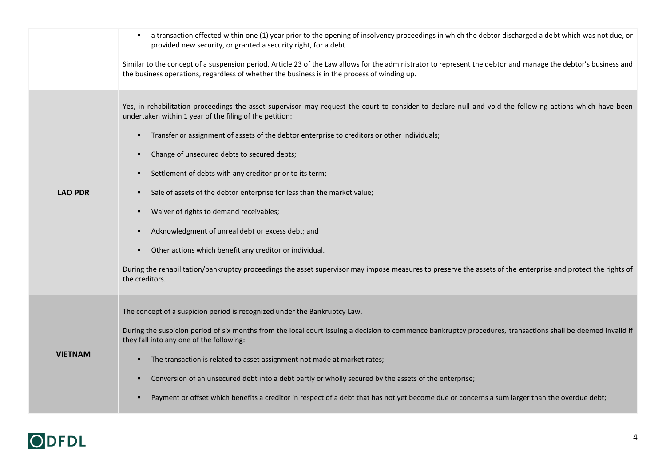|                | a transaction effected within one (1) year prior to the opening of insolvency proceedings in which the debtor discharged a debt which was not due, or<br>٠<br>provided new security, or granted a security right, for a debt.<br>Similar to the concept of a suspension period, Article 23 of the Law allows for the administrator to represent the debtor and manage the debtor's business and<br>the business operations, regardless of whether the business is in the process of winding up.                                                                                                                                                                                                                                                                                                                                                                                  |
|----------------|----------------------------------------------------------------------------------------------------------------------------------------------------------------------------------------------------------------------------------------------------------------------------------------------------------------------------------------------------------------------------------------------------------------------------------------------------------------------------------------------------------------------------------------------------------------------------------------------------------------------------------------------------------------------------------------------------------------------------------------------------------------------------------------------------------------------------------------------------------------------------------|
| <b>LAO PDR</b> | Yes, in rehabilitation proceedings the asset supervisor may request the court to consider to declare null and void the following actions which have been<br>undertaken within 1 year of the filing of the petition:<br>Transfer or assignment of assets of the debtor enterprise to creditors or other individuals;<br>٠<br>Change of unsecured debts to secured debts;<br>٠<br>Settlement of debts with any creditor prior to its term;<br>Sale of assets of the debtor enterprise for less than the market value;<br>л.<br>Waiver of rights to demand receivables;<br>٠<br>Acknowledgment of unreal debt or excess debt; and<br>٠<br>Other actions which benefit any creditor or individual.<br>During the rehabilitation/bankruptcy proceedings the asset supervisor may impose measures to preserve the assets of the enterprise and protect the rights of<br>the creditors. |
| <b>VIETNAM</b> | The concept of a suspicion period is recognized under the Bankruptcy Law.<br>During the suspicion period of six months from the local court issuing a decision to commence bankruptcy procedures, transactions shall be deemed invalid if<br>they fall into any one of the following:<br>The transaction is related to asset assignment not made at market rates;<br>٠<br>Conversion of an unsecured debt into a debt partly or wholly secured by the assets of the enterprise;<br>п<br>Payment or offset which benefits a creditor in respect of a debt that has not yet become due or concerns a sum larger than the overdue debt;<br>п                                                                                                                                                                                                                                        |

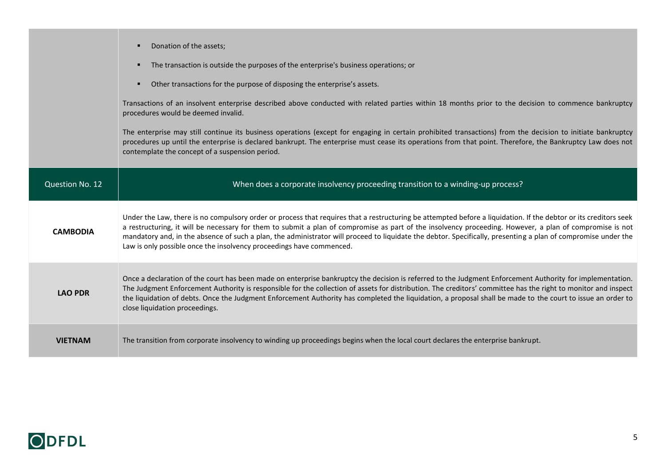|                 | Donation of the assets;<br>The transaction is outside the purposes of the enterprise's business operations; or<br>Other transactions for the purpose of disposing the enterprise's assets.<br>٠<br>Transactions of an insolvent enterprise described above conducted with related parties within 18 months prior to the decision to commence bankruptcy<br>procedures would be deemed invalid.<br>The enterprise may still continue its business operations (except for engaging in certain prohibited transactions) from the decision to initiate bankruptcy<br>procedures up until the enterprise is declared bankrupt. The enterprise must cease its operations from that point. Therefore, the Bankruptcy Law does not<br>contemplate the concept of a suspension period. |
|-----------------|-------------------------------------------------------------------------------------------------------------------------------------------------------------------------------------------------------------------------------------------------------------------------------------------------------------------------------------------------------------------------------------------------------------------------------------------------------------------------------------------------------------------------------------------------------------------------------------------------------------------------------------------------------------------------------------------------------------------------------------------------------------------------------|
| Question No. 12 | When does a corporate insolvency proceeding transition to a winding-up process?                                                                                                                                                                                                                                                                                                                                                                                                                                                                                                                                                                                                                                                                                               |
| <b>CAMBODIA</b> | Under the Law, there is no compulsory order or process that requires that a restructuring be attempted before a liquidation. If the debtor or its creditors seek<br>a restructuring, it will be necessary for them to submit a plan of compromise as part of the insolvency proceeding. However, a plan of compromise is not<br>mandatory and, in the absence of such a plan, the administrator will proceed to liquidate the debtor. Specifically, presenting a plan of compromise under the<br>Law is only possible once the insolvency proceedings have commenced.                                                                                                                                                                                                         |
| <b>LAO PDR</b>  | Once a declaration of the court has been made on enterprise bankruptcy the decision is referred to the Judgment Enforcement Authority for implementation.<br>The Judgment Enforcement Authority is responsible for the collection of assets for distribution. The creditors' committee has the right to monitor and inspect<br>the liquidation of debts. Once the Judgment Enforcement Authority has completed the liquidation, a proposal shall be made to the court to issue an order to<br>close liquidation proceedings.                                                                                                                                                                                                                                                  |
| <b>VIETNAM</b>  | The transition from corporate insolvency to winding up proceedings begins when the local court declares the enterprise bankrupt.                                                                                                                                                                                                                                                                                                                                                                                                                                                                                                                                                                                                                                              |

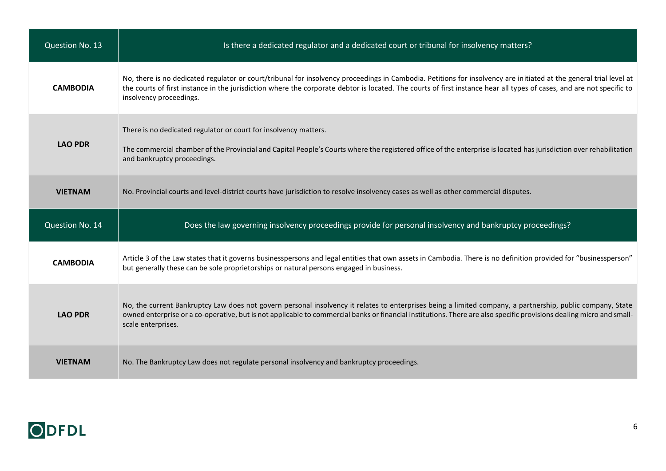| Question No. 13 | Is there a dedicated regulator and a dedicated court or tribunal for insolvency matters?                                                                                                                                                                                                                                                                               |
|-----------------|------------------------------------------------------------------------------------------------------------------------------------------------------------------------------------------------------------------------------------------------------------------------------------------------------------------------------------------------------------------------|
| <b>CAMBODIA</b> | No, there is no dedicated regulator or court/tribunal for insolvency proceedings in Cambodia. Petitions for insolvency are initiated at the general trial level at<br>the courts of first instance in the jurisdiction where the corporate debtor is located. The courts of first instance hear all types of cases, and are not specific to<br>insolvency proceedings. |
| <b>LAO PDR</b>  | There is no dedicated regulator or court for insolvency matters.<br>The commercial chamber of the Provincial and Capital People's Courts where the registered office of the enterprise is located has jurisdiction over rehabilitation<br>and bankruptcy proceedings.                                                                                                  |
| <b>VIETNAM</b>  | No. Provincial courts and level-district courts have jurisdiction to resolve insolvency cases as well as other commercial disputes.                                                                                                                                                                                                                                    |
|                 |                                                                                                                                                                                                                                                                                                                                                                        |
| Question No. 14 | Does the law governing insolvency proceedings provide for personal insolvency and bankruptcy proceedings?                                                                                                                                                                                                                                                              |
| <b>CAMBODIA</b> | Article 3 of the Law states that it governs businesspersons and legal entities that own assets in Cambodia. There is no definition provided for "businessperson"<br>but generally these can be sole proprietorships or natural persons engaged in business.                                                                                                            |
| <b>LAO PDR</b>  | No, the current Bankruptcy Law does not govern personal insolvency it relates to enterprises being a limited company, a partnership, public company, State<br>owned enterprise or a co-operative, but is not applicable to commercial banks or financial institutions. There are also specific provisions dealing micro and small-<br>scale enterprises.               |

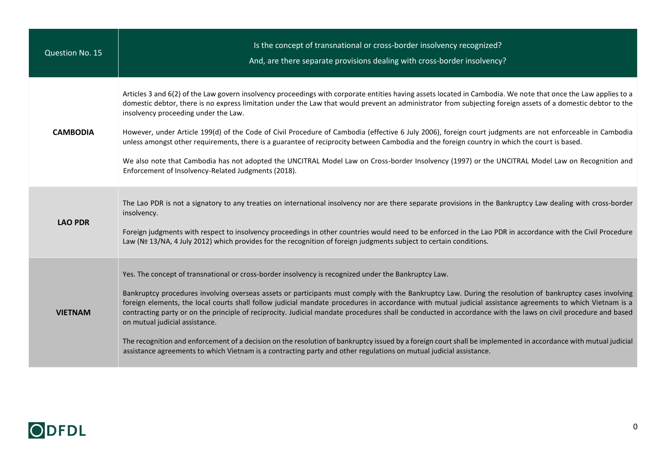| Question No. 15 | Is the concept of transnational or cross-border insolvency recognized?<br>And, are there separate provisions dealing with cross-border insolvency?                                                                                                                                                                                                                                                                                                                                                                                                                                                                                                                                                                                                                                                                                                                                                                         |
|-----------------|----------------------------------------------------------------------------------------------------------------------------------------------------------------------------------------------------------------------------------------------------------------------------------------------------------------------------------------------------------------------------------------------------------------------------------------------------------------------------------------------------------------------------------------------------------------------------------------------------------------------------------------------------------------------------------------------------------------------------------------------------------------------------------------------------------------------------------------------------------------------------------------------------------------------------|
| <b>CAMBODIA</b> | Articles 3 and 6(2) of the Law govern insolvency proceedings with corporate entities having assets located in Cambodia. We note that once the Law applies to a<br>domestic debtor, there is no express limitation under the Law that would prevent an administrator from subjecting foreign assets of a domestic debtor to the<br>insolvency proceeding under the Law.<br>However, under Article 199(d) of the Code of Civil Procedure of Cambodia (effective 6 July 2006), foreign court judgments are not enforceable in Cambodia<br>unless amongst other requirements, there is a guarantee of reciprocity between Cambodia and the foreign country in which the court is based.<br>We also note that Cambodia has not adopted the UNCITRAL Model Law on Cross-border Insolvency (1997) or the UNCITRAL Model Law on Recognition and<br>Enforcement of Insolvency-Related Judgments (2018).                             |
| <b>LAO PDR</b>  | The Lao PDR is not a signatory to any treaties on international insolvency nor are there separate provisions in the Bankruptcy Law dealing with cross-border<br>insolvency.<br>Foreign judgments with respect to insolvency proceedings in other countries would need to be enforced in the Lao PDR in accordance with the Civil Procedure<br>Law (№ 13/NA, 4 July 2012) which provides for the recognition of foreign judgments subject to certain conditions.                                                                                                                                                                                                                                                                                                                                                                                                                                                            |
| <b>VIETNAM</b>  | Yes. The concept of transnational or cross-border insolvency is recognized under the Bankruptcy Law.<br>Bankruptcy procedures involving overseas assets or participants must comply with the Bankruptcy Law. During the resolution of bankruptcy cases involving<br>foreign elements, the local courts shall follow judicial mandate procedures in accordance with mutual judicial assistance agreements to which Vietnam is a<br>contracting party or on the principle of reciprocity. Judicial mandate procedures shall be conducted in accordance with the laws on civil procedure and based<br>on mutual judicial assistance.<br>The recognition and enforcement of a decision on the resolution of bankruptcy issued by a foreign court shall be implemented in accordance with mutual judicial<br>assistance agreements to which Vietnam is a contracting party and other regulations on mutual judicial assistance. |

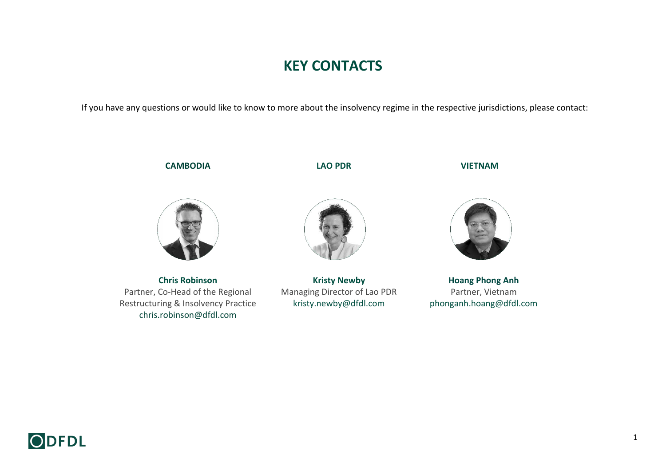## **KEY CONTACTS**

If you have any questions or would like to know to more about the insolvency regime in the respective jurisdictions, please contact:

## **CAMBODIA LAO PDR VIETNAM**



**[Chris Robinson](https://www.dfdl.com/locations/cambodia/cambodia-team/chris-robinson/)** Partner, Co-Head of the Regional Restructuring & Insolvency Practice [chris.robinson@dfdl.com](mailto:kristy.newby@dfdl.com)



**[Kristy Newby](https://www.dfdl.com/locations/lao-pdr/lao-pdr-team/kristy-newby/)** Managing Director of Lao PDR [kristy.newby@dfdl.com](mailto:kristy.newby@dfdl.com)



**[Hoang Phong Anh](https://www.dfdl.com/people/partners/hoang-phong-anh/)** Partner, Vietnam [phonganh.hoang@dfdl.com](mailto:phonganh.hoang@dfdl.com)